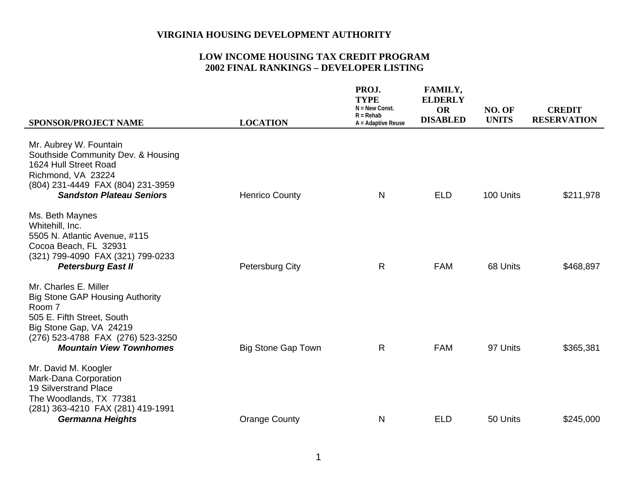| <b>SPONSOR/PROJECT NAME</b>                                                                                                                                                                               | <b>LOCATION</b>           | PROJ.<br><b>TYPE</b><br>$N = New Const.$<br>$R = Rehab$<br>A = Adaptive Reuse | <b>FAMILY,</b><br><b>ELDERLY</b><br><b>OR</b><br><b>DISABLED</b> | NO. OF<br><b>UNITS</b> | <b>CREDIT</b><br><b>RESERVATION</b> |
|-----------------------------------------------------------------------------------------------------------------------------------------------------------------------------------------------------------|---------------------------|-------------------------------------------------------------------------------|------------------------------------------------------------------|------------------------|-------------------------------------|
| Mr. Aubrey W. Fountain<br>Southside Community Dev. & Housing<br>1624 Hull Street Road<br>Richmond, VA 23224<br>(804) 231-4449 FAX (804) 231-3959<br><b>Sandston Plateau Seniors</b>                       | <b>Henrico County</b>     | $\mathsf{N}$                                                                  | <b>ELD</b>                                                       | 100 Units              | \$211,978                           |
| Ms. Beth Maynes<br>Whitehill, Inc.<br>5505 N. Atlantic Avenue, #115<br>Cocoa Beach, FL 32931<br>(321) 799-4090 FAX (321) 799-0233<br><b>Petersburg East II</b>                                            | Petersburg City           | $\mathsf{R}$                                                                  | <b>FAM</b>                                                       | 68 Units               | \$468,897                           |
| Mr. Charles E. Miller<br><b>Big Stone GAP Housing Authority</b><br>Room 7<br>505 E. Fifth Street, South<br>Big Stone Gap, VA 24219<br>(276) 523-4788 FAX (276) 523-3250<br><b>Mountain View Townhomes</b> | <b>Big Stone Gap Town</b> | R                                                                             | <b>FAM</b>                                                       | 97 Units               | \$365,381                           |
| Mr. David M. Koogler<br>Mark-Dana Corporation<br><b>19 Silverstrand Place</b><br>The Woodlands, TX 77381<br>(281) 363-4210 FAX (281) 419-1991<br><b>Germanna Heights</b>                                  | <b>Orange County</b>      | N                                                                             | <b>ELD</b>                                                       | 50 Units               | \$245,000                           |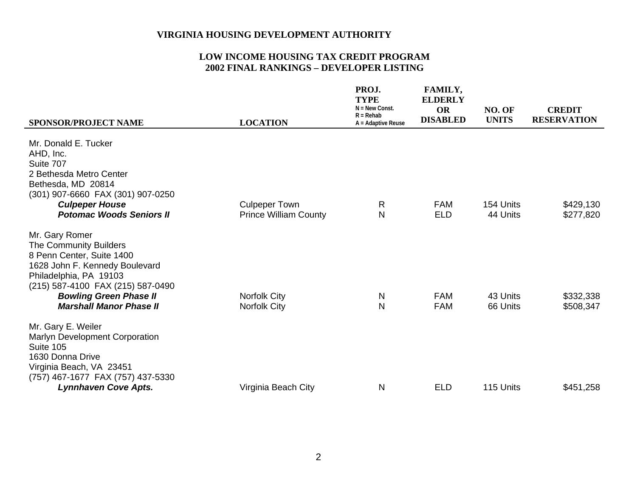|                                                                                                                                                                                                                                           |                                                      | PROJ.<br><b>TYPE</b><br>$N = New Const.$<br>$R = Rehab$ | <b>FAMILY,</b><br><b>ELDERLY</b><br><b>OR</b><br><b>DISABLED</b> | NO. OF<br><b>UNITS</b> | <b>CREDIT</b><br><b>RESERVATION</b> |
|-------------------------------------------------------------------------------------------------------------------------------------------------------------------------------------------------------------------------------------------|------------------------------------------------------|---------------------------------------------------------|------------------------------------------------------------------|------------------------|-------------------------------------|
| <b>SPONSOR/PROJECT NAME</b>                                                                                                                                                                                                               | <b>LOCATION</b>                                      | $A =$ Adaptive Reuse                                    |                                                                  |                        |                                     |
| Mr. Donald E. Tucker<br>AHD, Inc.<br>Suite 707<br>2 Bethesda Metro Center<br>Bethesda, MD 20814<br>(301) 907-6660 FAX (301) 907-0250<br><b>Culpeper House</b><br><b>Potomac Woods Seniors II</b>                                          | <b>Culpeper Town</b><br><b>Prince William County</b> | R<br>N                                                  | <b>FAM</b><br><b>ELD</b>                                         | 154 Units<br>44 Units  | \$429,130<br>\$277,820              |
| Mr. Gary Romer<br>The Community Builders<br>8 Penn Center, Suite 1400<br>1628 John F. Kennedy Boulevard<br>Philadelphia, PA 19103<br>(215) 587-4100 FAX (215) 587-0490<br><b>Bowling Green Phase II</b><br><b>Marshall Manor Phase II</b> | <b>Norfolk City</b><br><b>Norfolk City</b>           | N<br>N                                                  | <b>FAM</b><br><b>FAM</b>                                         | 43 Units<br>66 Units   | \$332,338<br>\$508,347              |
| Mr. Gary E. Weiler<br>Marlyn Development Corporation<br>Suite 105<br>1630 Donna Drive<br>Virginia Beach, VA 23451<br>(757) 467-1677 FAX (757) 437-5330<br><b>Lynnhaven Cove Apts.</b>                                                     | Virginia Beach City                                  | Ν                                                       | <b>ELD</b>                                                       | 115 Units              | \$451,258                           |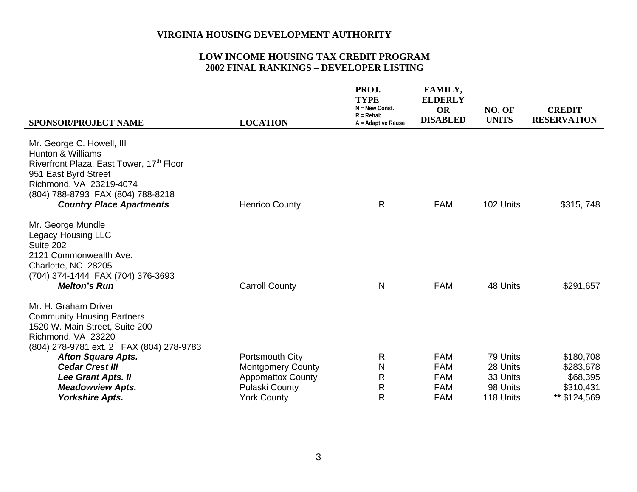| <b>SPONSOR/PROJECT NAME</b>                                                                                                                                                                                                      | <b>LOCATION</b>          | PROJ.<br><b>TYPE</b><br>$N = New Const.$<br>$R = Rehab$<br>A = Adaptive Reuse | <b>FAMILY,</b><br><b>ELDERLY</b><br><b>OR</b><br><b>DISABLED</b> | NO. OF<br><b>UNITS</b> | <b>CREDIT</b><br><b>RESERVATION</b> |
|----------------------------------------------------------------------------------------------------------------------------------------------------------------------------------------------------------------------------------|--------------------------|-------------------------------------------------------------------------------|------------------------------------------------------------------|------------------------|-------------------------------------|
| Mr. George C. Howell, III<br><b>Hunton &amp; Williams</b><br>Riverfront Plaza, East Tower, 17th Floor<br>951 East Byrd Street<br>Richmond, VA 23219-4074<br>(804) 788-8793 FAX (804) 788-8218<br><b>Country Place Apartments</b> | <b>Henrico County</b>    | $\mathsf{R}$                                                                  | <b>FAM</b>                                                       | 102 Units              | \$315, 748                          |
| Mr. George Mundle<br>Legacy Housing LLC<br>Suite 202<br>2121 Commonwealth Ave.<br>Charlotte, NC 28205<br>(704) 374-1444 FAX (704) 376-3693<br><b>Melton's Run</b>                                                                | <b>Carroll County</b>    | N                                                                             | <b>FAM</b>                                                       | 48 Units               | \$291,657                           |
| Mr. H. Graham Driver<br><b>Community Housing Partners</b><br>1520 W. Main Street, Suite 200<br>Richmond, VA 23220<br>(804) 278-9781 ext. 2 FAX (804) 278-9783                                                                    |                          |                                                                               |                                                                  |                        |                                     |
| <b>Afton Square Apts.</b>                                                                                                                                                                                                        | Portsmouth City          | $\mathsf{R}$                                                                  | <b>FAM</b>                                                       | 79 Units               | \$180,708                           |
| <b>Cedar Crest III</b>                                                                                                                                                                                                           | <b>Montgomery County</b> | N                                                                             | <b>FAM</b>                                                       | 28 Units               | \$283,678                           |
| Lee Grant Apts. II                                                                                                                                                                                                               | <b>Appomattox County</b> | R                                                                             | <b>FAM</b>                                                       | 33 Units               | \$68,395                            |
| <b>Meadowview Apts.</b>                                                                                                                                                                                                          | <b>Pulaski County</b>    | R                                                                             | <b>FAM</b>                                                       | 98 Units               | \$310,431                           |
| <b>Yorkshire Apts.</b>                                                                                                                                                                                                           | <b>York County</b>       | $\mathsf{R}$                                                                  | <b>FAM</b>                                                       | 118 Units              | ** \$124,569                        |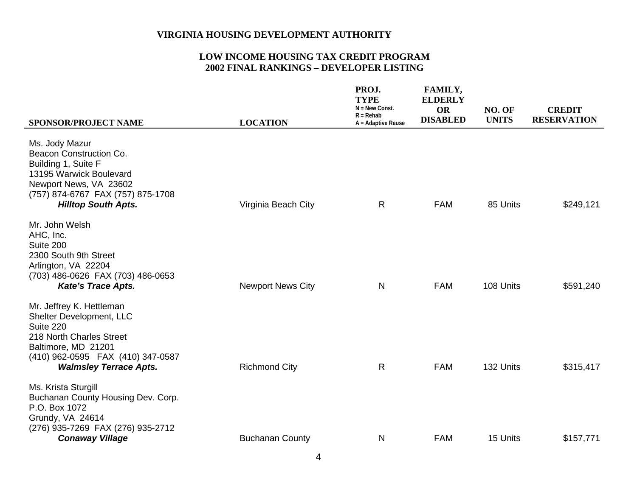| <b>SPONSOR/PROJECT NAME</b>                                                                                                                                                                | <b>LOCATION</b>          | PROJ.<br><b>TYPE</b><br>$N = New Const.$<br>$R = Rehab$<br>A = Adaptive Reuse | FAMILY,<br><b>ELDERLY</b><br><b>OR</b><br><b>DISABLED</b> | NO. OF<br><b>UNITS</b> | <b>CREDIT</b><br><b>RESERVATION</b> |
|--------------------------------------------------------------------------------------------------------------------------------------------------------------------------------------------|--------------------------|-------------------------------------------------------------------------------|-----------------------------------------------------------|------------------------|-------------------------------------|
| Ms. Jody Mazur<br>Beacon Construction Co.<br>Building 1, Suite F<br>13195 Warwick Boulevard<br>Newport News, VA 23602<br>(757) 874-6767 FAX (757) 875-1708<br><b>Hilltop South Apts.</b>   | Virginia Beach City      | $\mathsf{R}$                                                                  | <b>FAM</b>                                                | 85 Units               | \$249,121                           |
| Mr. John Welsh<br>AHC, Inc.<br>Suite 200<br>2300 South 9th Street<br>Arlington, VA 22204<br>(703) 486-0626 FAX (703) 486-0653<br><b>Kate's Trace Apts.</b>                                 | <b>Newport News City</b> | $\mathsf{N}$                                                                  | <b>FAM</b>                                                | 108 Units              | \$591,240                           |
| Mr. Jeffrey K. Hettleman<br>Shelter Development, LLC<br>Suite 220<br>218 North Charles Street<br>Baltimore, MD 21201<br>(410) 962-0595 FAX (410) 347-0587<br><b>Walmsley Terrace Apts.</b> | <b>Richmond City</b>     | $\mathsf{R}$                                                                  | <b>FAM</b>                                                | 132 Units              | \$315,417                           |
| Ms. Krista Sturgill<br>Buchanan County Housing Dev. Corp.<br>P.O. Box 1072<br>Grundy, VA 24614<br>(276) 935-7269 FAX (276) 935-2712<br><b>Conaway Village</b>                              | <b>Buchanan County</b>   | N                                                                             | <b>FAM</b>                                                | 15 Units               | \$157,771                           |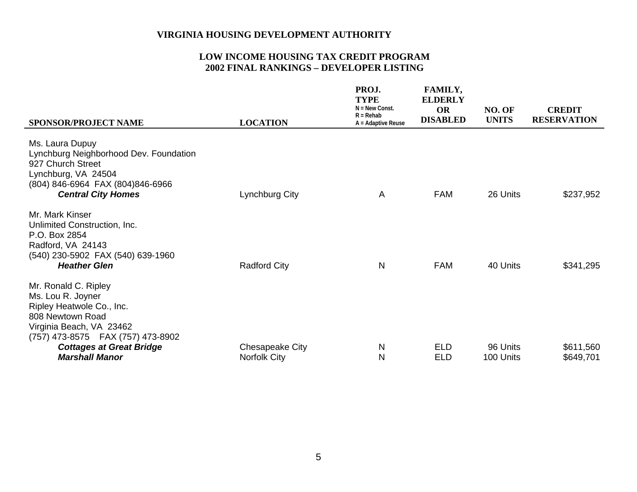| <b>SPONSOR/PROJECT NAME</b>                                                                                                                                                                    | <b>LOCATION</b>     | PROJ.<br><b>TYPE</b><br>$N = New Const.$<br>$R = Rehab$<br>A = Adaptive Reuse | FAMILY,<br><b>ELDERLY</b><br><b>OR</b><br><b>DISABLED</b> | NO. OF<br><b>UNITS</b> | <b>CREDIT</b><br><b>RESERVATION</b> |
|------------------------------------------------------------------------------------------------------------------------------------------------------------------------------------------------|---------------------|-------------------------------------------------------------------------------|-----------------------------------------------------------|------------------------|-------------------------------------|
| Ms. Laura Dupuy<br>Lynchburg Neighborhood Dev. Foundation<br>927 Church Street<br>Lynchburg, VA 24504<br>(804) 846-6964 FAX (804) 846-6966<br><b>Central City Homes</b>                        | Lynchburg City      | A                                                                             | <b>FAM</b>                                                | 26 Units               | \$237,952                           |
| Mr. Mark Kinser<br>Unlimited Construction, Inc.<br>P.O. Box 2854<br>Radford, VA 24143<br>(540) 230-5902 FAX (540) 639-1960<br><b>Heather Glen</b>                                              | <b>Radford City</b> | N                                                                             | <b>FAM</b>                                                | 40 Units               | \$341,295                           |
| Mr. Ronald C. Ripley<br>Ms. Lou R. Joyner<br>Ripley Heatwole Co., Inc.<br>808 Newtown Road<br>Virginia Beach, VA 23462<br>(757) 473-8575 FAX (757) 473-8902<br><b>Cottages at Great Bridge</b> | Chesapeake City     | $\mathsf{N}$                                                                  | <b>ELD</b>                                                | 96 Units               | \$611,560                           |
| <b>Marshall Manor</b>                                                                                                                                                                          | <b>Norfolk City</b> | N                                                                             | <b>ELD</b>                                                | 100 Units              | \$649,701                           |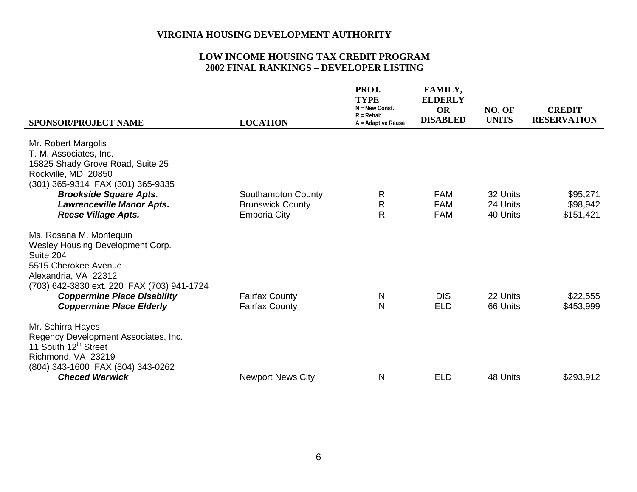| <b>SPONSOR/PROJECT NAME</b>                                                                                                                                                                                                                      | <b>LOCATION</b>                                                      | PROJ.<br><b>TYPE</b><br>$N = New Const.$<br>$R = Rehab$<br>A = Adaptive Reuse | FAMILY,<br><b>ELDERLY</b><br><b>OR</b><br><b>DISABLED</b> | NO. OF<br><b>UNITS</b>           | <b>CREDIT</b><br><b>RESERVATION</b> |
|--------------------------------------------------------------------------------------------------------------------------------------------------------------------------------------------------------------------------------------------------|----------------------------------------------------------------------|-------------------------------------------------------------------------------|-----------------------------------------------------------|----------------------------------|-------------------------------------|
| Mr. Robert Margolis<br>T. M. Associates, Inc.<br>15825 Shady Grove Road, Suite 25<br>Rockville, MD 20850<br>(301) 365-9314 FAX (301) 365-9335<br><b>Brookside Square Apts.</b><br><b>Lawrenceville Manor Apts.</b><br><b>Reese Village Apts.</b> | Southampton County<br><b>Brunswick County</b><br><b>Emporia City</b> | R<br>$\mathsf{R}$<br>$\mathsf{R}$                                             | <b>FAM</b><br><b>FAM</b><br><b>FAM</b>                    | 32 Units<br>24 Units<br>40 Units | \$95,271<br>\$98,942<br>\$151,421   |
| Ms. Rosana M. Montequin<br>Wesley Housing Development Corp.<br>Suite 204<br>5515 Cherokee Avenue<br>Alexandria, VA 22312<br>(703) 642-3830 ext. 220 FAX (703) 941-1724<br><b>Coppermine Place Disability</b><br><b>Coppermine Place Elderly</b>  | <b>Fairfax County</b><br><b>Fairfax County</b>                       | N<br>N                                                                        | <b>DIS</b><br><b>ELD</b>                                  | 22 Units<br>66 Units             | \$22,555<br>\$453,999               |
| Mr. Schirra Hayes<br>Regency Development Associates, Inc.<br>11 South 12 <sup>th</sup> Street<br>Richmond, VA 23219<br>(804) 343-1600 FAX (804) 343-0262<br><b>Checed Warwick</b>                                                                | <b>Newport News City</b>                                             | N                                                                             | <b>ELD</b>                                                | 48 Units                         | \$293,912                           |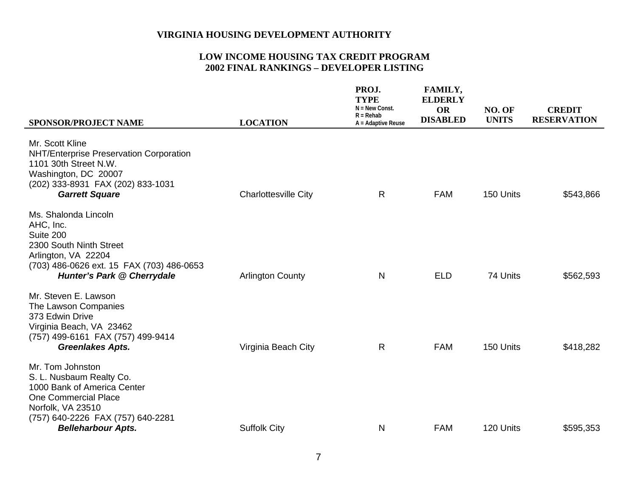| SPONSOR/PROJECT NAME                                                                                                                                                                              | <b>LOCATION</b>             | PROJ.<br><b>TYPE</b><br>$N = New Const.$<br>$R = Rehab$<br>A = Adaptive Reuse | FAMILY,<br><b>ELDERLY</b><br><b>OR</b><br><b>DISABLED</b> | NO. OF<br><b>UNITS</b> | <b>CREDIT</b><br><b>RESERVATION</b> |
|---------------------------------------------------------------------------------------------------------------------------------------------------------------------------------------------------|-----------------------------|-------------------------------------------------------------------------------|-----------------------------------------------------------|------------------------|-------------------------------------|
| Mr. Scott Kline<br>NHT/Enterprise Preservation Corporation<br>1101 30th Street N.W.<br>Washington, DC 20007<br>(202) 333-8931 FAX (202) 833-1031<br><b>Garrett Square</b>                         | <b>Charlottesville City</b> | $\mathsf{R}$                                                                  | <b>FAM</b>                                                | 150 Units              | \$543,866                           |
| Ms. Shalonda Lincoln<br>AHC, Inc.<br>Suite 200<br>2300 South Ninth Street<br>Arlington, VA 22204<br>(703) 486-0626 ext. 15 FAX (703) 486-0653<br><b>Hunter's Park @ Cherrydale</b>                | <b>Arlington County</b>     | N                                                                             | <b>ELD</b>                                                | 74 Units               | \$562,593                           |
| Mr. Steven E. Lawson<br>The Lawson Companies<br>373 Edwin Drive<br>Virginia Beach, VA 23462<br>(757) 499-6161 FAX (757) 499-9414<br><b>Greenlakes Apts.</b>                                       | Virginia Beach City         | $\mathsf{R}$                                                                  | <b>FAM</b>                                                | 150 Units              | \$418,282                           |
| Mr. Tom Johnston<br>S. L. Nusbaum Realty Co.<br>1000 Bank of America Center<br><b>One Commercial Place</b><br>Norfolk, VA 23510<br>(757) 640-2226 FAX (757) 640-2281<br><b>Belleharbour Apts.</b> | <b>Suffolk City</b>         | N                                                                             | <b>FAM</b>                                                | 120 Units              | \$595,353                           |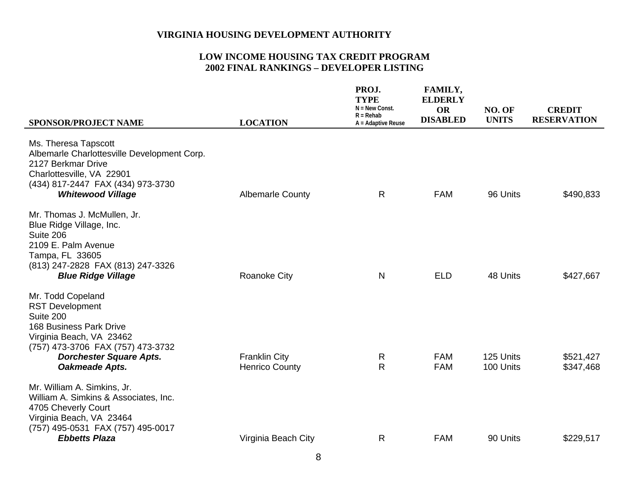| <b>SPONSOR/PROJECT NAME</b>                                                                                                                                                                                     | <b>LOCATION</b>                               | PROJ.<br><b>TYPE</b><br>$N = New Const.$<br>$R = Rehab$<br>A = Adaptive Reuse | FAMILY,<br><b>ELDERLY</b><br><b>OR</b><br><b>DISABLED</b> | NO. OF<br><b>UNITS</b> | <b>CREDIT</b><br><b>RESERVATION</b> |
|-----------------------------------------------------------------------------------------------------------------------------------------------------------------------------------------------------------------|-----------------------------------------------|-------------------------------------------------------------------------------|-----------------------------------------------------------|------------------------|-------------------------------------|
| Ms. Theresa Tapscott<br>Albemarle Charlottesville Development Corp.<br>2127 Berkmar Drive<br>Charlottesville, VA 22901<br>(434) 817-2447 FAX (434) 973-3730<br><b>Whitewood Village</b>                         | <b>Albemarle County</b>                       | R                                                                             | <b>FAM</b>                                                | 96 Units               | \$490,833                           |
| Mr. Thomas J. McMullen, Jr.<br>Blue Ridge Village, Inc.<br>Suite 206<br>2109 E. Palm Avenue<br>Tampa, FL 33605<br>(813) 247-2828 FAX (813) 247-3326<br><b>Blue Ridge Village</b>                                | <b>Roanoke City</b>                           | $\mathsf{N}$                                                                  | <b>ELD</b>                                                | 48 Units               | \$427,667                           |
| Mr. Todd Copeland<br><b>RST Development</b><br>Suite 200<br><b>168 Business Park Drive</b><br>Virginia Beach, VA 23462<br>(757) 473-3706 FAX (757) 473-3732<br><b>Dorchester Square Apts.</b><br>Oakmeade Apts. | <b>Franklin City</b><br><b>Henrico County</b> | $\mathsf{R}$<br>$\mathsf{R}$                                                  | <b>FAM</b><br><b>FAM</b>                                  | 125 Units<br>100 Units | \$521,427<br>\$347,468              |
| Mr. William A. Simkins, Jr.<br>William A. Simkins & Associates, Inc.<br>4705 Cheverly Court<br>Virginia Beach, VA 23464<br>(757) 495-0531 FAX (757) 495-0017<br><b>Ebbetts Plaza</b>                            | Virginia Beach City                           | $\mathsf{R}$                                                                  | <b>FAM</b>                                                | 90 Units               | \$229,517                           |